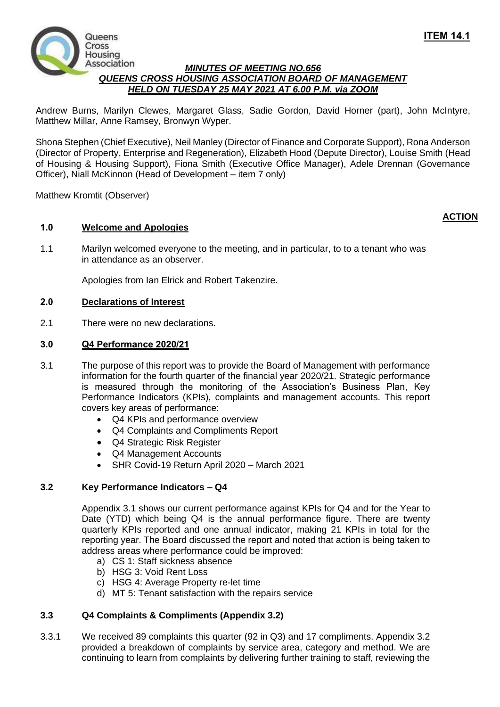**ACTION**



## *MINUTES OF MEETING NO.656 QUEENS CROSS HOUSING ASSOCIATION BOARD OF MANAGEMENT HELD ON TUESDAY 25 MAY 2021 AT 6.00 P.M. via ZOOM*

Andrew Burns, Marilyn Clewes, Margaret Glass, Sadie Gordon, David Horner (part), John McIntyre, Matthew Millar, Anne Ramsey, Bronwyn Wyper.

Shona Stephen (Chief Executive), Neil Manley (Director of Finance and Corporate Support), Rona Anderson (Director of Property, Enterprise and Regeneration), Elizabeth Hood (Depute Director), Louise Smith (Head of Housing & Housing Support), Fiona Smith (Executive Office Manager), Adele Drennan (Governance Officer), Niall McKinnon (Head of Development – item 7 only)

Matthew Kromtit (Observer)

# **1.0 Welcome and Apologies**

1.1 Marilyn welcomed everyone to the meeting, and in particular, to to a tenant who was in attendance as an observer.

Apologies from Ian Elrick and Robert Takenzire.

## **2.0 Declarations of Interest**

2.1 There were no new declarations.

## **3.0 Q4 Performance 2020/21**

- 3.1 The purpose of this report was to provide the Board of Management with performance information for the fourth quarter of the financial year 2020/21. Strategic performance is measured through the monitoring of the Association's Business Plan, Key Performance Indicators (KPIs), complaints and management accounts. This report covers key areas of performance:
	- Q4 KPIs and performance overview
	- Q4 Complaints and Compliments Report
	- Q4 Strategic Risk Register
	- Q4 Management Accounts
	- SHR Covid-19 Return April 2020 March 2021

#### **3.2 Key Performance Indicators – Q4**

Appendix 3.1 shows our current performance against KPIs for Q4 and for the Year to Date (YTD) which being Q4 is the annual performance figure. There are twenty quarterly KPIs reported and one annual indicator, making 21 KPIs in total for the reporting year. The Board discussed the report and noted that action is being taken to address areas where performance could be improved:

- a) CS 1: Staff sickness absence
- b) HSG 3: Void Rent Loss
- c) HSG 4: Average Property re-let time
- d) MT 5: Tenant satisfaction with the repairs service

# **3.3 Q4 Complaints & Compliments (Appendix 3.2)**

3.3.1 We received 89 complaints this quarter (92 in Q3) and 17 compliments. Appendix 3.2 provided a breakdown of complaints by service area, category and method. We are continuing to learn from complaints by delivering further training to staff, reviewing the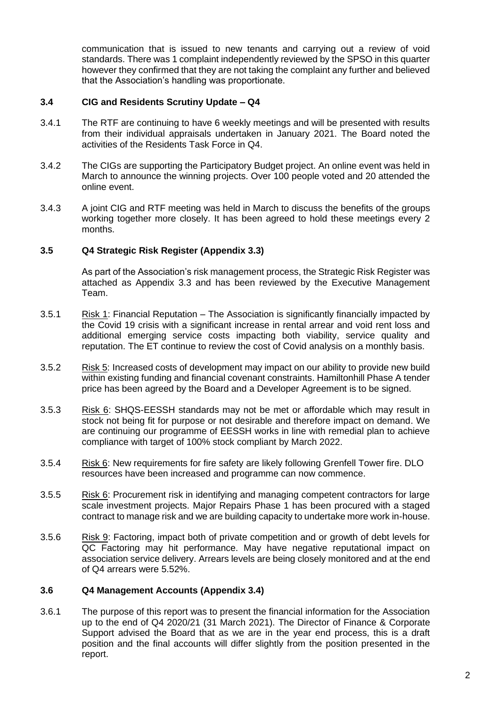communication that is issued to new tenants and carrying out a review of void standards. There was 1 complaint independently reviewed by the SPSO in this quarter however they confirmed that they are not taking the complaint any further and believed that the Association's handling was proportionate.

## **3.4 CIG and Residents Scrutiny Update – Q4**

- 3.4.1 The RTF are continuing to have 6 weekly meetings and will be presented with results from their individual appraisals undertaken in January 2021. The Board noted the activities of the Residents Task Force in Q4.
- 3.4.2 The CIGs are supporting the Participatory Budget project. An online event was held in March to announce the winning projects. Over 100 people voted and 20 attended the online event.
- 3.4.3 A joint CIG and RTF meeting was held in March to discuss the benefits of the groups working together more closely. It has been agreed to hold these meetings every 2 months.

## **3.5 Q4 Strategic Risk Register (Appendix 3.3)**

As part of the Association's risk management process, the Strategic Risk Register was attached as Appendix 3.3 and has been reviewed by the Executive Management Team.

- 3.5.1 Risk 1: Financial Reputation The Association is significantly financially impacted by the Covid 19 crisis with a significant increase in rental arrear and void rent loss and additional emerging service costs impacting both viability, service quality and reputation. The ET continue to review the cost of Covid analysis on a monthly basis.
- 3.5.2 Risk 5: Increased costs of development may impact on our ability to provide new build within existing funding and financial covenant constraints. Hamiltonhill Phase A tender price has been agreed by the Board and a Developer Agreement is to be signed.
- 3.5.3 Risk 6: SHQS-EESSH standards may not be met or affordable which may result in stock not being fit for purpose or not desirable and therefore impact on demand. We are continuing our programme of EESSH works in line with remedial plan to achieve compliance with target of 100% stock compliant by March 2022.
- 3.5.4 Risk 6: New requirements for fire safety are likely following Grenfell Tower fire. DLO resources have been increased and programme can now commence.
- 3.5.5 Risk 6: Procurement risk in identifying and managing competent contractors for large scale investment projects. Major Repairs Phase 1 has been procured with a staged contract to manage risk and we are building capacity to undertake more work in-house.
- 3.5.6 Risk 9: Factoring, impact both of private competition and or growth of debt levels for QC Factoring may hit performance. May have negative reputational impact on association service delivery. Arrears levels are being closely monitored and at the end of Q4 arrears were 5.52%.

#### **3.6 Q4 Management Accounts (Appendix 3.4)**

3.6.1 The purpose of this report was to present the financial information for the Association up to the end of Q4 2020/21 (31 March 2021). The Director of Finance & Corporate Support advised the Board that as we are in the year end process, this is a draft position and the final accounts will differ slightly from the position presented in the report.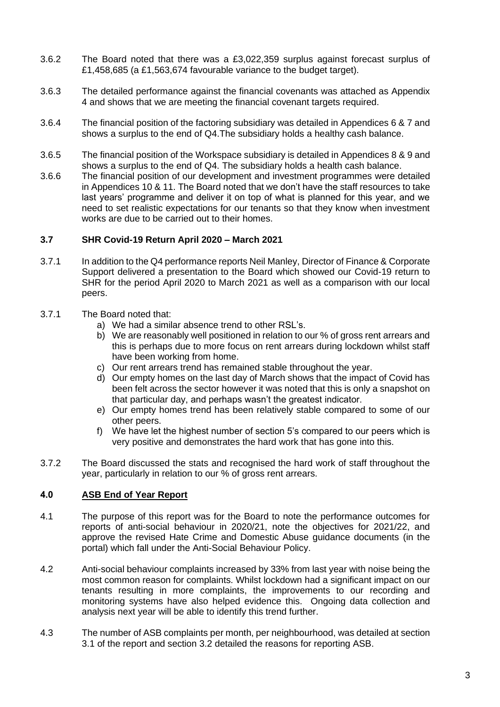- 3.6.2 The Board noted that there was a £3,022,359 surplus against forecast surplus of £1,458,685 (a £1,563,674 favourable variance to the budget target).
- 3.6.3 The detailed performance against the financial covenants was attached as Appendix 4 and shows that we are meeting the financial covenant targets required.
- 3.6.4 The financial position of the factoring subsidiary was detailed in Appendices 6 & 7 and shows a surplus to the end of Q4.The subsidiary holds a healthy cash balance.
- 3.6.5 The financial position of the Workspace subsidiary is detailed in Appendices 8 & 9 and shows a surplus to the end of Q4. The subsidiary holds a health cash balance.
- 3.6.6 The financial position of our development and investment programmes were detailed in Appendices 10 & 11. The Board noted that we don't have the staff resources to take last years' programme and deliver it on top of what is planned for this year, and we need to set realistic expectations for our tenants so that they know when investment works are due to be carried out to their homes.

#### **3.7 SHR Covid-19 Return April 2020 – March 2021**

- 3.7.1 In addition to the Q4 performance reports Neil Manley, Director of Finance & Corporate Support delivered a presentation to the Board which showed our Covid-19 return to SHR for the period April 2020 to March 2021 as well as a comparison with our local peers.
- 3.7.1 The Board noted that:
	- a) We had a similar absence trend to other RSL's.
	- b) We are reasonably well positioned in relation to our % of gross rent arrears and this is perhaps due to more focus on rent arrears during lockdown whilst staff have been working from home.
	- c) Our rent arrears trend has remained stable throughout the year.
	- d) Our empty homes on the last day of March shows that the impact of Covid has been felt across the sector however it was noted that this is only a snapshot on that particular day, and perhaps wasn't the greatest indicator.
	- e) Our empty homes trend has been relatively stable compared to some of our other peers.
	- f) We have let the highest number of section 5's compared to our peers which is very positive and demonstrates the hard work that has gone into this.
- 3.7.2 The Board discussed the stats and recognised the hard work of staff throughout the year, particularly in relation to our % of gross rent arrears.

#### **4.0 ASB End of Year Report**

- 4.1 The purpose of this report was for the Board to note the performance outcomes for reports of anti-social behaviour in 2020/21, note the objectives for 2021/22, and approve the revised Hate Crime and Domestic Abuse guidance documents (in the portal) which fall under the Anti-Social Behaviour Policy.
- 4.2 Anti-social behaviour complaints increased by 33% from last year with noise being the most common reason for complaints. Whilst lockdown had a significant impact on our tenants resulting in more complaints, the improvements to our recording and monitoring systems have also helped evidence this. Ongoing data collection and analysis next year will be able to identify this trend further.
- 4.3 The number of ASB complaints per month, per neighbourhood, was detailed at section 3.1 of the report and section 3.2 detailed the reasons for reporting ASB.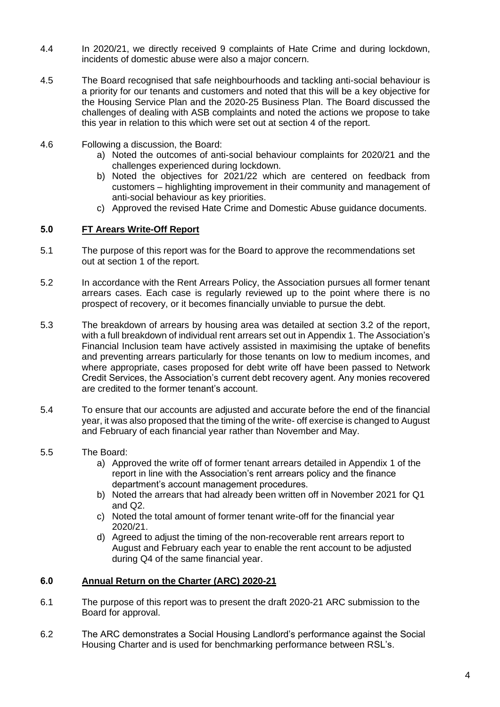- 4.4 In 2020/21, we directly received 9 complaints of Hate Crime and during lockdown, incidents of domestic abuse were also a major concern.
- 4.5 The Board recognised that safe neighbourhoods and tackling anti-social behaviour is a priority for our tenants and customers and noted that this will be a key objective for the Housing Service Plan and the 2020-25 Business Plan. The Board discussed the challenges of dealing with ASB complaints and noted the actions we propose to take this year in relation to this which were set out at section 4 of the report.
- 4.6 Following a discussion, the Board:
	- a) Noted the outcomes of anti-social behaviour complaints for 2020/21 and the challenges experienced during lockdown.
	- b) Noted the objectives for 2021/22 which are centered on feedback from customers – highlighting improvement in their community and management of anti-social behaviour as key priorities.
	- c) Approved the revised Hate Crime and Domestic Abuse guidance documents.

## **5.0 FT Arears Write-Off Report**

- 5.1 The purpose of this report was for the Board to approve the recommendations set out at section 1 of the report.
- 5.2 In accordance with the Rent Arrears Policy, the Association pursues all former tenant arrears cases. Each case is regularly reviewed up to the point where there is no prospect of recovery, or it becomes financially unviable to pursue the debt.
- 5.3 The breakdown of arrears by housing area was detailed at section 3.2 of the report, with a full breakdown of individual rent arrears set out in Appendix 1. The Association's Financial Inclusion team have actively assisted in maximising the uptake of benefits and preventing arrears particularly for those tenants on low to medium incomes, and where appropriate, cases proposed for debt write off have been passed to Network Credit Services, the Association's current debt recovery agent. Any monies recovered are credited to the former tenant's account.
- 5.4 To ensure that our accounts are adjusted and accurate before the end of the financial year, it was also proposed that the timing of the write- off exercise is changed to August and February of each financial year rather than November and May.
- 5.5 The Board:
	- a) Approved the write off of former tenant arrears detailed in Appendix 1 of the report in line with the Association's rent arrears policy and the finance department's account management procedures.
	- b) Noted the arrears that had already been written off in November 2021 for Q1 and Q2.
	- c) Noted the total amount of former tenant write-off for the financial year 2020/21.
	- d) Agreed to adjust the timing of the non-recoverable rent arrears report to August and February each year to enable the rent account to be adjusted during Q4 of the same financial year.

# **6.0 Annual Return on the Charter (ARC) 2020-21**

- 6.1 The purpose of this report was to present the draft 2020-21 ARC submission to the Board for approval.
- 6.2 The ARC demonstrates a Social Housing Landlord's performance against the Social Housing Charter and is used for benchmarking performance between RSL's.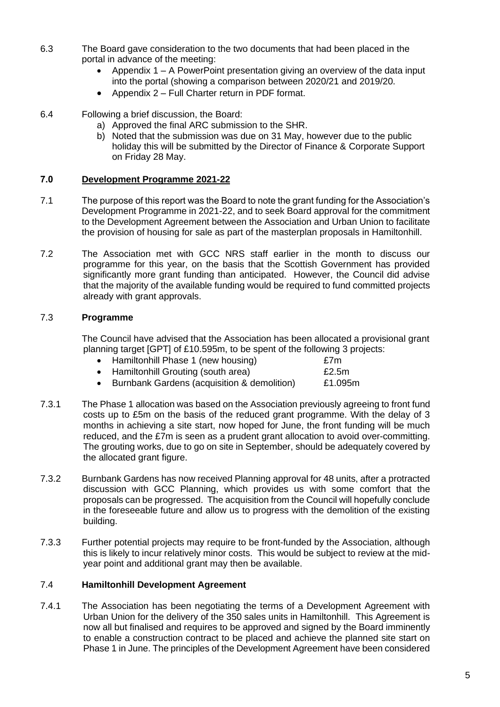- 6.3 The Board gave consideration to the two documents that had been placed in the portal in advance of the meeting:
	- Appendix  $1 A$  PowerPoint presentation giving an overview of the data input into the portal (showing a comparison between 2020/21 and 2019/20.
	- Appendix 2 Full Charter return in PDF format.
- 6.4 Following a brief discussion, the Board:
	- a) Approved the final ARC submission to the SHR.
	- b) Noted that the submission was due on 31 May, however due to the public holiday this will be submitted by the Director of Finance & Corporate Support on Friday 28 May.

## **7.0 Development Programme 2021-22**

- 7.1 The purpose of this report was the Board to note the grant funding for the Association's Development Programme in 2021-22, and to seek Board approval for the commitment to the Development Agreement between the Association and Urban Union to facilitate the provision of housing for sale as part of the masterplan proposals in Hamiltonhill.
- 7.2 The Association met with GCC NRS staff earlier in the month to discuss our programme for this year, on the basis that the Scottish Government has provided significantly more grant funding than anticipated. However, the Council did advise that the majority of the available funding would be required to fund committed projects already with grant approvals.

## 7.3 **Programme**

The Council have advised that the Association has been allocated a provisional grant planning target [GPT] of £10.595m, to be spent of the following 3 projects:

| • Hamiltonhill Phase 1 (new housing)          | £7m      |
|-----------------------------------------------|----------|
| • Hamiltonhill Grouting (south area)          | £2.5 $m$ |
| • Burnbank Gardens (acquisition & demolition) | £1.095m  |

- 7.3.1 The Phase 1 allocation was based on the Association previously agreeing to front fund costs up to £5m on the basis of the reduced grant programme. With the delay of 3 months in achieving a site start, now hoped for June, the front funding will be much reduced, and the £7m is seen as a prudent grant allocation to avoid over-committing. The grouting works, due to go on site in September, should be adequately covered by the allocated grant figure.
- 7.3.2 Burnbank Gardens has now received Planning approval for 48 units, after a protracted discussion with GCC Planning, which provides us with some comfort that the proposals can be progressed. The acquisition from the Council will hopefully conclude in the foreseeable future and allow us to progress with the demolition of the existing building.
- 7.3.3 Further potential projects may require to be front-funded by the Association, although this is likely to incur relatively minor costs. This would be subject to review at the midyear point and additional grant may then be available.

# 7.4 **Hamiltonhill Development Agreement**

7.4.1 The Association has been negotiating the terms of a Development Agreement with Urban Union for the delivery of the 350 sales units in Hamiltonhill. This Agreement is now all but finalised and requires to be approved and signed by the Board imminently to enable a construction contract to be placed and achieve the planned site start on Phase 1 in June. The principles of the Development Agreement have been considered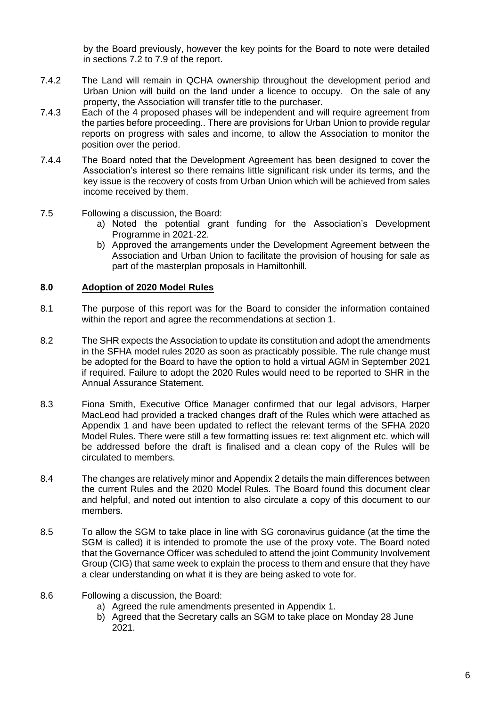by the Board previously, however the key points for the Board to note were detailed in sections 7.2 to 7.9 of the report.

- 7.4.2 The Land will remain in QCHA ownership throughout the development period and Urban Union will build on the land under a licence to occupy. On the sale of any property, the Association will transfer title to the purchaser.
- 7.4.3 Each of the 4 proposed phases will be independent and will require agreement from the parties before proceeding.. There are provisions for Urban Union to provide regular reports on progress with sales and income, to allow the Association to monitor the position over the period.
- 7.4.4 The Board noted that the Development Agreement has been designed to cover the Association's interest so there remains little significant risk under its terms, and the key issue is the recovery of costs from Urban Union which will be achieved from sales income received by them.
- 7.5 Following a discussion, the Board:
	- a) Noted the potential grant funding for the Association's Development Programme in 2021-22.
	- b) Approved the arrangements under the Development Agreement between the Association and Urban Union to facilitate the provision of housing for sale as part of the masterplan proposals in Hamiltonhill.

#### **8.0 Adoption of 2020 Model Rules**

- 8.1 The purpose of this report was for the Board to consider the information contained within the report and agree the recommendations at section 1.
- 8.2 The SHR expects the Association to update its constitution and adopt the amendments in the SFHA model rules 2020 as soon as practicably possible. The rule change must be adopted for the Board to have the option to hold a virtual AGM in September 2021 if required. Failure to adopt the 2020 Rules would need to be reported to SHR in the Annual Assurance Statement.
- 8.3 Fiona Smith, Executive Office Manager confirmed that our legal advisors, Harper MacLeod had provided a tracked changes draft of the Rules which were attached as Appendix 1 and have been updated to reflect the relevant terms of the SFHA 2020 Model Rules. There were still a few formatting issues re: text alignment etc. which will be addressed before the draft is finalised and a clean copy of the Rules will be circulated to members.
- 8.4 The changes are relatively minor and Appendix 2 details the main differences between the current Rules and the 2020 Model Rules. The Board found this document clear and helpful, and noted out intention to also circulate a copy of this document to our members.
- 8.5 To allow the SGM to take place in line with SG coronavirus guidance (at the time the SGM is called) it is intended to promote the use of the proxy vote. The Board noted that the Governance Officer was scheduled to attend the joint Community Involvement Group (CIG) that same week to explain the process to them and ensure that they have a clear understanding on what it is they are being asked to vote for.
- 8.6 Following a discussion, the Board:
	- a) Agreed the rule amendments presented in Appendix 1.
	- b) Agreed that the Secretary calls an SGM to take place on Monday 28 June 2021.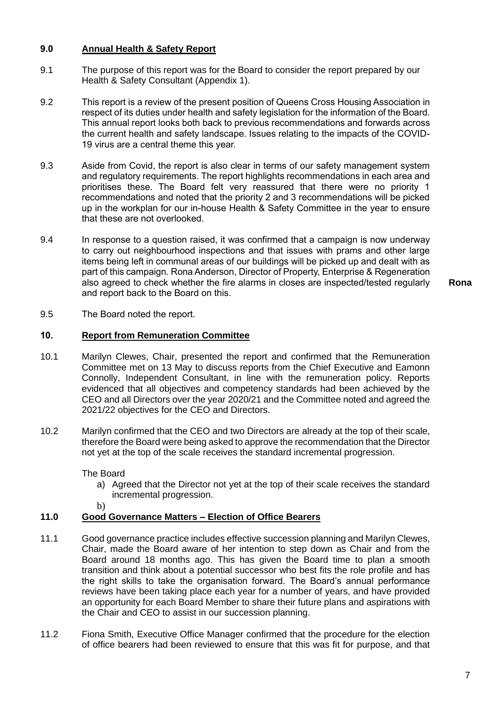# **9.0 Annual Health & Safety Report**

- 9.1 The purpose of this report was for the Board to consider the report prepared by our Health & Safety Consultant (Appendix 1).
- 9.2 This report is a review of the present position of Queens Cross Housing Association in respect of its duties under health and safety legislation for the information of the Board. This annual report looks both back to previous recommendations and forwards across the current health and safety landscape. Issues relating to the impacts of the COVID-19 virus are a central theme this year.
- 9.3 Aside from Covid, the report is also clear in terms of our safety management system and regulatory requirements. The report highlights recommendations in each area and prioritises these. The Board felt very reassured that there were no priority 1 recommendations and noted that the priority 2 and 3 recommendations will be picked up in the workplan for our in-house Health & Safety Committee in the year to ensure that these are not overlooked.
- 9.4 In response to a question raised, it was confirmed that a campaign is now underway to carry out neighbourhood inspections and that issues with prams and other large items being left in communal areas of our buildings will be picked up and dealt with as part of this campaign. Rona Anderson, Director of Property, Enterprise & Regeneration also agreed to check whether the fire alarms in closes are inspected/tested regularly and report back to the Board on this.

**Rona**

9.5 The Board noted the report.

## **10. Report from Remuneration Committee**

- 10.1 Marilyn Clewes, Chair, presented the report and confirmed that the Remuneration Committee met on 13 May to discuss reports from the Chief Executive and Eamonn Connolly, Independent Consultant, in line with the remuneration policy. Reports evidenced that all objectives and competency standards had been achieved by the CEO and all Directors over the year 2020/21 and the Committee noted and agreed the 2021/22 objectives for the CEO and Directors.
- 10.2 Marilyn confirmed that the CEO and two Directors are already at the top of their scale, therefore the Board were being asked to approve the recommendation that the Director not yet at the top of the scale receives the standard incremental progression.

The Board

- a) Agreed that the Director not yet at the top of their scale receives the standard incremental progression.
- b)

# **11.0 Good Governance Matters – Election of Office Bearers**

- 11.1 Good governance practice includes effective succession planning and Marilyn Clewes, Chair, made the Board aware of her intention to step down as Chair and from the Board around 18 months ago. This has given the Board time to plan a smooth transition and think about a potential successor who best fits the role profile and has the right skills to take the organisation forward. The Board's annual performance reviews have been taking place each year for a number of years, and have provided an opportunity for each Board Member to share their future plans and aspirations with the Chair and CEO to assist in our succession planning.
- 11.2 Fiona Smith, Executive Office Manager confirmed that the procedure for the election of office bearers had been reviewed to ensure that this was fit for purpose, and that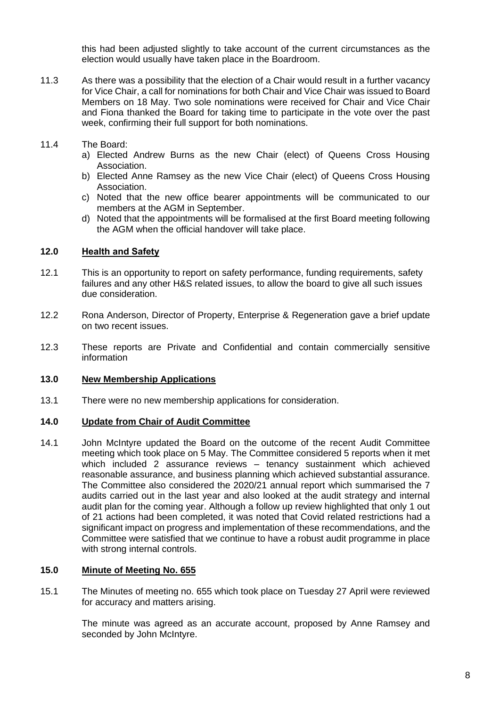this had been adjusted slightly to take account of the current circumstances as the election would usually have taken place in the Boardroom.

- 11.3 As there was a possibility that the election of a Chair would result in a further vacancy for Vice Chair, a call for nominations for both Chair and Vice Chair was issued to Board Members on 18 May. Two sole nominations were received for Chair and Vice Chair and Fiona thanked the Board for taking time to participate in the vote over the past week, confirming their full support for both nominations.
- 11.4 The Board:
	- a) Elected Andrew Burns as the new Chair (elect) of Queens Cross Housing Association.
	- b) Elected Anne Ramsey as the new Vice Chair (elect) of Queens Cross Housing Association.
	- c) Noted that the new office bearer appointments will be communicated to our members at the AGM in September.
	- d) Noted that the appointments will be formalised at the first Board meeting following the AGM when the official handover will take place.

### **12.0 Health and Safety**

- 12.1 This is an opportunity to report on safety performance, funding requirements, safety failures and any other H&S related issues, to allow the board to give all such issues due consideration.
- 12.2 Rona Anderson, Director of Property, Enterprise & Regeneration gave a brief update on two recent issues.
- 12.3 These reports are Private and Confidential and contain commercially sensitive information

#### **13.0 New Membership Applications**

13.1 There were no new membership applications for consideration.

#### **14.0 Update from Chair of Audit Committee**

14.1 John McIntyre updated the Board on the outcome of the recent Audit Committee meeting which took place on 5 May. The Committee considered 5 reports when it met which included 2 assurance reviews – tenancy sustainment which achieved reasonable assurance, and business planning which achieved substantial assurance. The Committee also considered the 2020/21 annual report which summarised the 7 audits carried out in the last year and also looked at the audit strategy and internal audit plan for the coming year. Although a follow up review highlighted that only 1 out of 21 actions had been completed, it was noted that Covid related restrictions had a significant impact on progress and implementation of these recommendations, and the Committee were satisfied that we continue to have a robust audit programme in place with strong internal controls.

#### **15.0 Minute of Meeting No. 655**

15.1 The Minutes of meeting no. 655 which took place on Tuesday 27 April were reviewed for accuracy and matters arising.

> The minute was agreed as an accurate account, proposed by Anne Ramsey and seconded by John McIntyre.